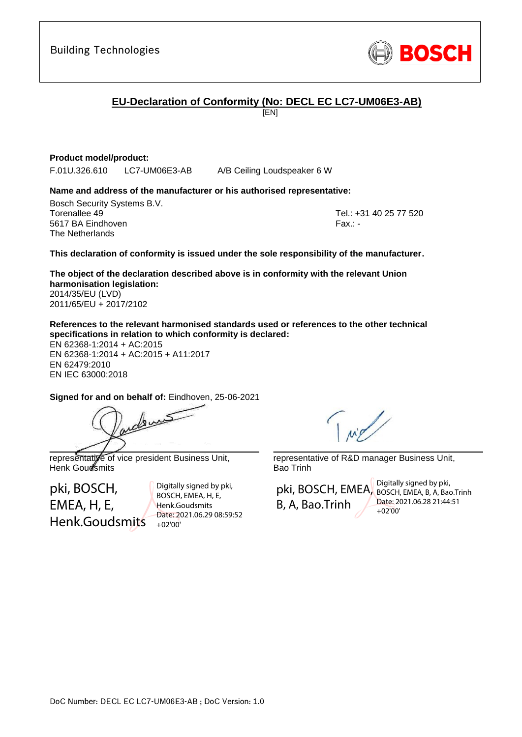**EU-Declaration of Conformity (No: DECL EC LC7-UM06E3-AB)**

[EN]

# **Product model/product:**

F.01U.326.610 LC7-UM06E3-AB A/B Ceiling Loudspeaker 6 W

### **Name and address of the manufacturer or his authorised representative:**

Bosch Security Systems B.V. Torenallee 49 Tel.: +31 40 25 77 520 5617 BA Eindhoven Fax.: - Fax.: - Fax.: - Fax.: - Fax.: - Fax.: -The Netherlands

<span id="page-0-1"></span><span id="page-0-0"></span>

### **This declaration of conformity is issued under the sole responsibility of the manufacturer.**

<span id="page-0-2"></span>**The object of the declaration described above is in conformity with the relevant Union harmonisation legislation:** 2014/35/EU (LVD)

2011/65/EU + 2017/2102

**References to the relevant harmonised standards used or references to the other technical specifications in relation to which conformity is declared:**

EN 62368-1:2014 + AC:2015 EN 62368-1:2014 + AC:2015 + A11:2017 EN 62479:2010 EN IEC 63000:2018

<span id="page-0-7"></span><span id="page-0-6"></span><span id="page-0-5"></span><span id="page-0-4"></span><span id="page-0-3"></span>**Signed for and on behalf of:** Eindhoven, 25-06-2021

dens \_\_\_\_\_\_\_\_\_\_\_\_\_\_\_\_\_\_\_\_\_\_\_\_\_\_\_\_\_\_\_\_\_\_\_\_\_\_\_\_\_\_\_

representative of vice president Business Unit, Henk Goudsmits

pki, BOSCH, EMEA, H, E, Henk.Goudsmits

Digitally signed by pki, BOSCH, EMEA, H, E, Henk.Goudsmits Date: 2021.06.29 08:59:52 +02'00'

\_\_\_\_\_\_\_\_\_\_\_\_\_\_\_\_\_\_\_\_\_\_\_\_\_\_\_\_\_\_\_\_\_\_\_\_\_\_\_\_\_\_\_

representative of R&D manager Business Unit, Bao Trinh

pki, BOSCH, EMEA, BOSCH, EMEA, B, A, Bao.Trinh B, A, Bao.Trinh Digitally signed by pki, Date: 2021.06.28 21:44:51 +02'00'

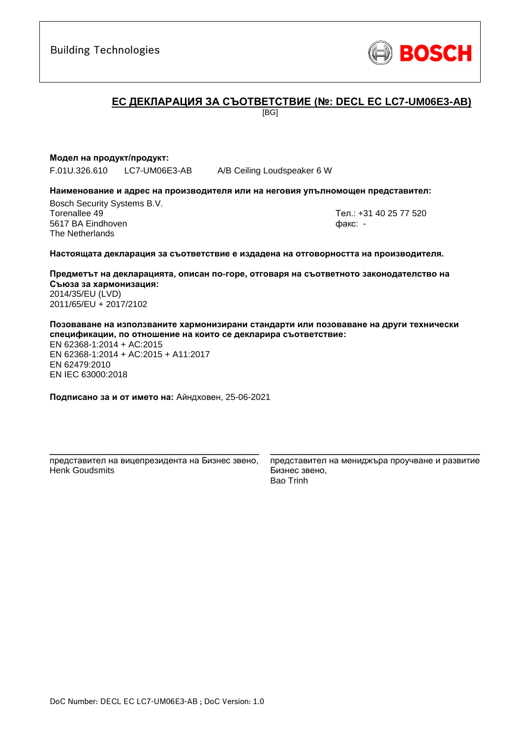# **ЕC ДЕКЛАРАЦИЯ ЗА СЪОТВЕТСТВИЕ (№: DECL EC LC7-UM06E3-AB)**

[BG]

### **Модел на продукт/продукт:**

F.01U.326.610 LC7-UM06E3-AB A/B Ceiling Loudspeaker 6 W

#### **Наименование и адрес на производителя или на неговия упълномощен представител:**

Bosch Security Systems B.V. Torenallee 49 Тел.: [+31 40 25 77 520](#page-0-0) 5617 BA Eindhoven факс: [-](#page-0-1) The Netherlands

#### **Настоящата декларация за съответствие е издадена на отговорността на производителя.**

**Предметът на декларацията, описан по-горе, отговаря на съответното законодателство на Съюза за хармонизация[:](#page-0-2)** [2014/35/EU \(LVD\)](#page-0-2) [2011/65/EU +](#page-0-2) 2017/2102

**Позоваване на използваните хармонизирани стандарти или позоваване на други технически спецификации, по отношение на които се декларира съответствие:**

EN 62368-1:2014 + AC:2015 EN 62368-1:2014 + AC:2015 + A11:2017 EN 62479:2010 EN IEC 63000:201[8](#page-0-3)

**Подписано за и от името на:** Айндховен, 25-06-2021

\_\_\_\_\_\_\_\_\_\_\_\_\_\_\_\_\_\_\_\_\_\_\_\_\_\_\_\_\_\_\_\_\_\_\_\_\_\_\_\_\_\_\_ представител на вицепрезидента на Бизнес звено, Henk Goudsmits

представител на мениджъра проучване и развитие Бизнес звено, Bao Trinh

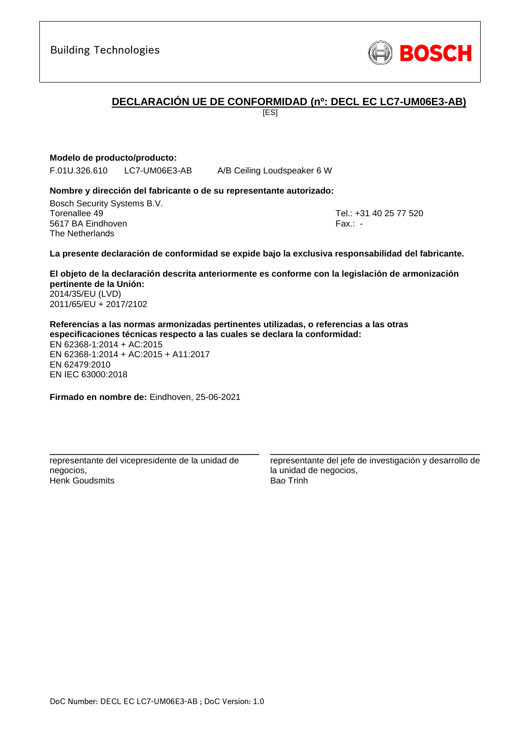# **DECLARACIÓN UE DE CONFORMIDAD (nº: DECL EC LC7-UM06E3-AB)**

[ES]

**Modelo de producto/producto:**

F.01U.326.610 LC7-UM06E3-AB A/B Ceiling Loudspeaker 6 W

### **Nombre y dirección del fabricante o de su representante autorizado:**

Bosch Security Systems B.V. Torenallee 49 Tel.: [+31 40 25 77 520](#page-0-0) 5617 BA Eindhoven Fax.: [-](#page-0-1) The Netherlands

**La presente declaración de conformidad se expide bajo la exclusiva responsabilidad del fabricante.**

**El objeto de la declaración descrita anteriormente es conforme con la legislación de armonización pertinente de la Unión[:](#page-0-2)** [2014/35/EU \(LVD\)](#page-0-2) [2011/65/EU +](#page-0-2) 2017/2102

**Referencias a las normas armonizadas pertinentes utilizadas, o referencias a las otras especificaciones técnicas respecto a las cuales se declara la conformidad:** EN 62368-1:2014 + AC:2015 EN 62368-1:2014 + AC:2015 + A11:2017 EN 62479:2010 EN IEC 63000:201[8](#page-0-3)

**Firmado en nombre de:** Eindhoven, 25-06-2021

\_\_\_\_\_\_\_\_\_\_\_\_\_\_\_\_\_\_\_\_\_\_\_\_\_\_\_\_\_\_\_\_\_\_\_\_\_\_\_\_\_\_\_ representante del vicepresidente de la unidad de negocios, Henk Goudsmits

representante del jefe de investigación y desarrollo de la unidad de negocios, Bao Trinh

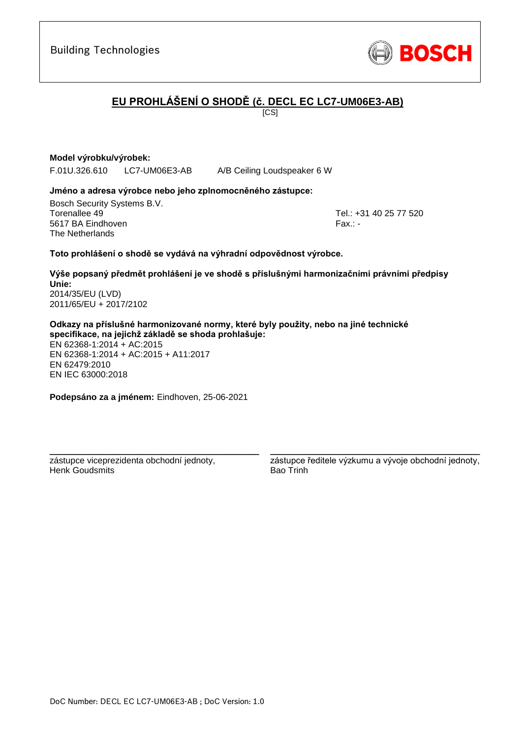

# **EU PROHLÁŠENÍ O SHODĚ (č. DECL EC LC7-UM06E3-AB)**

 $\overline{IC}$ SI

# **Model výrobku/výrobek:**

F.01U.326.610 LC7-UM06E3-AB A/B Ceiling Loudspeaker 6 W

### **Jméno a adresa výrobce nebo jeho zplnomocněného zástupce:**

Bosch Security Systems B.V. Torenallee 49 Tel.: [+31 40 25 77 520](#page-0-0) 5617 BA Eindhoven Fax.: [-](#page-0-1) Fax.: - Fax.: - Fax.: - Fax.: -The Netherlands

### **Toto prohlášení o shodě se vydává na výhradní odpovědnost výrobce.**

**Výše popsaný předmět prohlášení je ve shodě s příslušnými harmonizačními právními předpisy Unie[:](#page-0-2)** [2014/35/EU \(LVD\)](#page-0-2) [2011/65/EU +](#page-0-2) 2017/2102

**Odkazy na příslušné harmonizované normy, které byly použity, nebo na jiné technické specifikace, na jejichž základě se shoda prohlašuje:**

EN 62368-1:2014 + AC:2015 EN 62368-1:2014 + AC:2015 + A11:2017 EN 62479:2010 EN IEC 63000:201[8](#page-0-3)

**Podepsáno za a jménem:** Eindhoven, 25-06-2021

\_\_\_\_\_\_\_\_\_\_\_\_\_\_\_\_\_\_\_\_\_\_\_\_\_\_\_\_\_\_\_\_\_\_\_\_\_\_\_\_\_\_\_

zástupce viceprezidenta obchodní jednoty, Henk Goudsmits

\_\_\_\_\_\_\_\_\_\_\_\_\_\_\_\_\_\_\_\_\_\_\_\_\_\_\_\_\_\_\_\_\_\_\_\_\_\_\_\_\_\_\_ zástupce ředitele výzkumu a vývoje obchodní jednoty, Bao Trinh

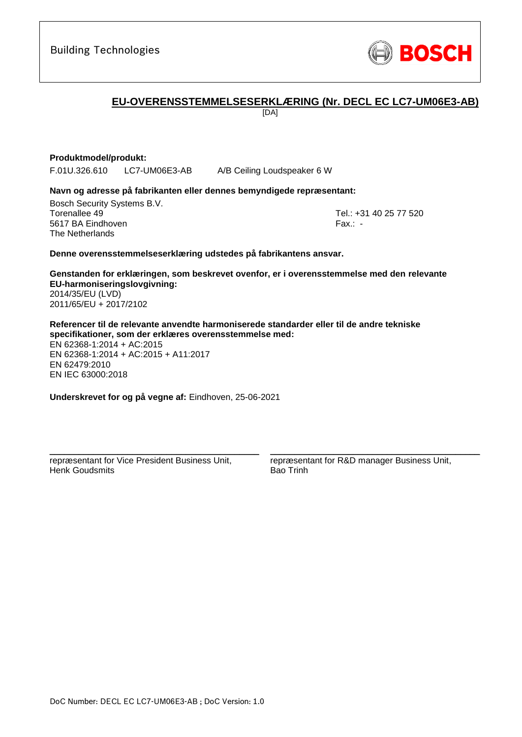**EU-OVERENSSTEMMELSESERKLÆRING (Nr. DECL EC LC7-UM06E3-AB)**

[DA]

# **Produktmodel/produkt:**

F.01U.326.610 LC7-UM06E3-AB A/B Ceiling Loudspeaker 6 W

### **Navn og adresse på fabrikanten eller dennes bemyndigede repræsentant:**

Bosch Security Systems B.V. Torenallee 49 Tel.: [+31 40 25 77 520](#page-0-0) 5617 BA Eindhoven Fax.: [-](#page-0-1) The Netherlands

### **Denne overensstemmelseserklæring udstedes på fabrikantens ansvar.**

**Genstanden for erklæringen, som beskrevet ovenfor, er i overensstemmelse med den relevante EU-harmoniseringslovgivning[:](#page-0-2)** [2014/35/EU \(LVD\)](#page-0-2) [2011/65/EU +](#page-0-2) 2017/2102

**Referencer til de relevante anvendte harmoniserede standarder eller til de andre tekniske specifikationer, som der erklæres overensstemmelse med:**

EN 62368-1:2014 + AC:2015 EN 62368-1:2014 + AC:2015 + A11:2017 EN 62479:2010 EN IEC 63000:201[8](#page-0-3)

**Underskrevet for og på vegne af:** Eindhoven, 25-06-2021

\_\_\_\_\_\_\_\_\_\_\_\_\_\_\_\_\_\_\_\_\_\_\_\_\_\_\_\_\_\_\_\_\_\_\_\_\_\_\_\_\_\_\_ repræsentant for Vice President Business Unit, Henk Goudsmits

repræsentant for R&D manager Business Unit, Bao Trinh

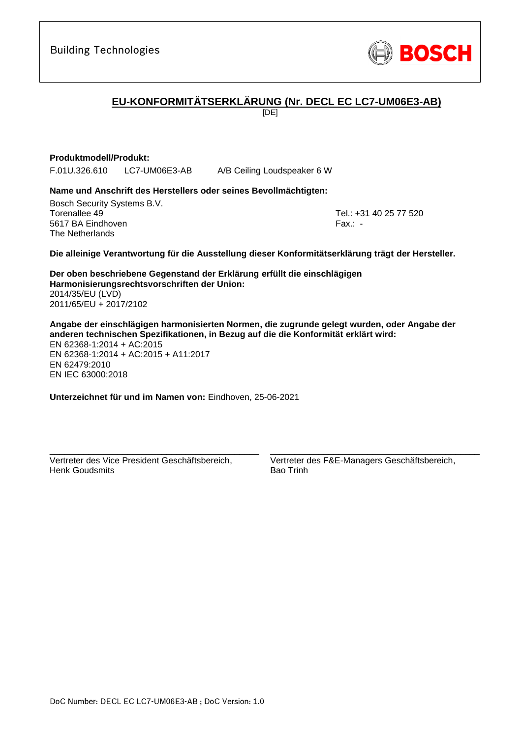

# **EU-KONFORMITÄTSERKLÄRUNG (Nr. DECL EC LC7-UM06E3-AB)**

[DE]

### **Produktmodell/Produkt:**

F.01U.326.610 LC7-UM06E3-AB A/B Ceiling Loudspeaker 6 W

# **Name und Anschrift des Herstellers oder seines Bevollmächtigten:**

Bosch Security Systems B.V. Torenallee 49 Tel.: [+31 40 25 77 520](#page-0-0) 5617 BA Eindhoven Fax.: [-](#page-0-1) The Netherlands

**Die alleinige Verantwortung für die Ausstellung dieser Konformitätserklärung trägt der Hersteller.**

**Der oben beschriebene Gegenstand der Erklärung erfüllt die einschlägigen Harmonisierungsrechtsvorschriften der Union[:](#page-0-2)** [2014/35/EU \(LVD\)](#page-0-2) [2011/65/EU +](#page-0-2) 2017/2102

**Angabe der einschlägigen harmonisierten Normen, die zugrunde gelegt wurden, oder Angabe der anderen technischen Spezifikationen, in Bezug auf die die Konformität erklärt wird:** EN 62368-1:2014 + AC:2015 EN 62368-1:2014 + AC:2015 + A11:2017 EN 62479:2010 EN IEC 63000:201[8](#page-0-3)

**Unterzeichnet für und im Namen von:** Eindhoven, 25-06-2021

Vertreter des Vice President Geschäftsbereich, Henk Goudsmits

\_\_\_\_\_\_\_\_\_\_\_\_\_\_\_\_\_\_\_\_\_\_\_\_\_\_\_\_\_\_\_\_\_\_\_\_\_\_\_\_\_\_\_

Vertreter des F&E-Managers Geschäftsbereich, Bao Trinh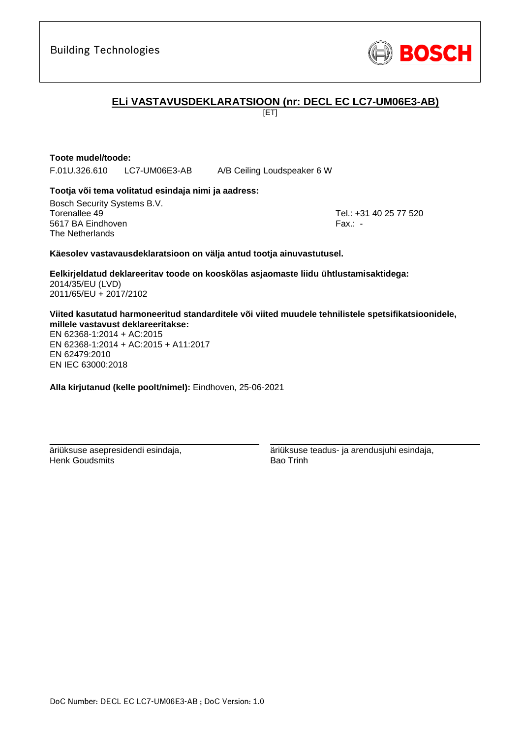

# **ELi VASTAVUSDEKLARATSIOON (nr: DECL EC LC7-UM06E3-AB)**

[ET]

### **Toote mudel/toode:**

F.01U.326.610 LC7-UM06E3-AB A/B Ceiling Loudspeaker 6 W

### **Tootja või tema volitatud esindaja nimi ja aadress:**

Bosch Security Systems B.V. Torenallee 49 Tel.: [+31 40 25 77 520](#page-0-0) 5617 BA Eindhoven Fax.: [-](#page-0-1) The Netherlands

### **Käesolev vastavausdeklaratsioon on välja antud tootja ainuvastutusel.**

**Eelkirjeldatud deklareeritav toode on kooskõlas asjaomaste liidu ühtlustamisaktidega[:](#page-0-2)** [2014/35/EU \(LVD\)](#page-0-2) [2011/65/EU +](#page-0-2) 2017/2102

**Viited kasutatud harmoneeritud standarditele või viited muudele tehnilistele spetsifikatsioonidele, millele vastavust deklareeritakse:**

EN 62368-1:2014 + AC:2015 EN 62368-1:2014 + AC:2015 + A11:2017 EN 62479:2010 [E](#page-0-4)[N](#page-0-5) [I](#page-0-6)[E](#page-0-7)C 63000:201[8](#page-0-3)

**Alla kirjutanud (kelle poolt/nimel):** Eindhoven, 25-06-2021

\_\_\_\_\_\_\_\_\_\_\_\_\_\_\_\_\_\_\_\_\_\_\_\_\_\_\_\_\_\_\_\_\_\_\_\_\_\_\_\_\_\_\_

äriüksuse asepresidendi esindaja, Henk Goudsmits

äriüksuse teadus- ja arendusjuhi esindaja, Bao Trinh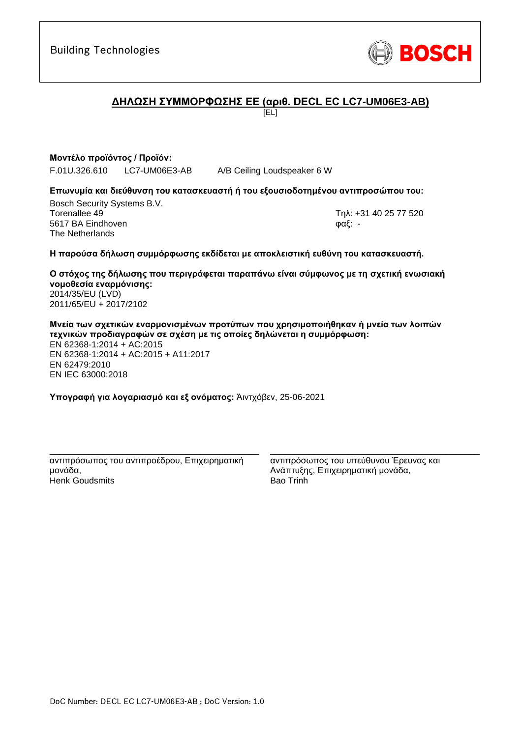

# **ΔΗΛΩΣΗ ΣΥΜΜΟΡΦΩΣΗΣ ΕΕ (αριθ. DECL EC LC7-UM06E3-AB)**

[EL]

**Μοντέλο προϊόντος / Προϊόν:**

F.01U.326.610 LC7-UM06E3-AB A/B Ceiling Loudspeaker 6 W

### **Επωνυμία και διεύθυνση του κατασκευαστή ή του εξουσιοδοτημένου αντιπροσώπου του:**

Bosch Security Systems B.V. Torenallee 49 Τηλ: [+31 40 25 77 520](#page-0-0) 5617 BA Eindhoven φαξ: [-](#page-0-1) The Netherlands

### **Η παρούσα δήλωση συμμόρφωσης εκδίδεται με αποκλειστική ευθύνη του κατασκευαστή.**

**Ο στόχος της δήλωσης που περιγράφεται παραπάνω είναι σύμφωνος με τη σχετική ενωσιακή νομοθεσία εναρμόνισης[:](#page-0-2)** [2014/35/EU \(LVD\)](#page-0-2) [2011/65/EU +](#page-0-2) 2017/2102

**Μνεία των σχετικών εναρμονισμένων προτύπων που χρησιμοποιήθηκαν ή μνεία των λοιπών τεχνικών προδιαγραφών σε σχέση με τις οποίες δηλώνεται η συμμόρφωση:** EN 62368-1:2014 + AC:2015 EN 62368-1:2014 + AC:2015 + A11:2017 EN 62479:2010 EN IEC 63000:201[8](#page-0-3)

**Υπογραφή για λογαριασμό και εξ ονόματος:** Άιντχόβεν, 25-06-2021

\_\_\_\_\_\_\_\_\_\_\_\_\_\_\_\_\_\_\_\_\_\_\_\_\_\_\_\_\_\_\_\_\_\_\_\_\_\_\_\_\_\_\_ αντιπρόσωπος του αντιπροέδρου, Επιχειρηματική μονάδα, Henk Goudsmits

αντιπρόσωπος του υπεύθυνου Έρευνας και Ανάπτυξης, Επιχειρηματική μονάδα, Bao Trinh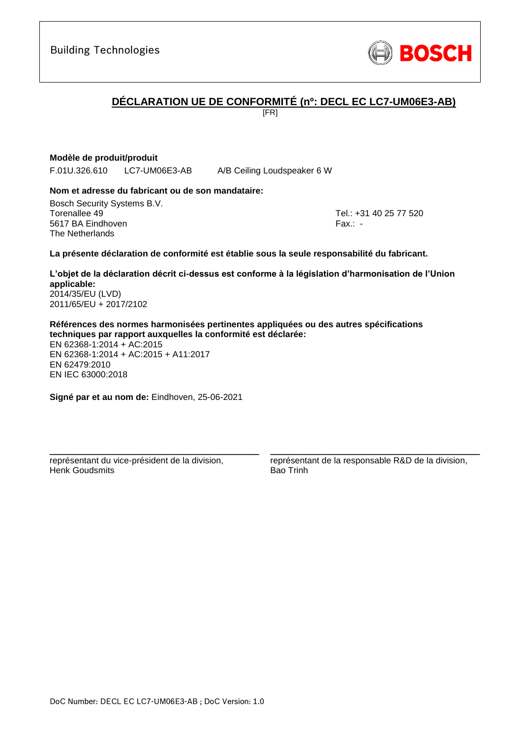# **DÉCLARATION UE DE CONFORMITÉ (nº: DECL EC LC7-UM06E3-AB)**

[FR]

# **Modèle de produit/produit**

F.01U.326.610 LC7-UM06E3-AB A/B Ceiling Loudspeaker 6 W

### **Nom et adresse du fabricant ou de son mandataire:**

Bosch Security Systems B.V. Torenallee 49 Tel.: [+31 40 25 77 520](#page-0-0) 5617 BA Eindhoven Fax.: [-](#page-0-1) The Netherlands

#### **La présente déclaration de conformité est établie sous la seule responsabilité du fabricant.**

**L'objet de la déclaration décrit ci-dessus est conforme à la législation d'harmonisation de l'Union applicable[:](#page-0-2)** [2014/35/EU \(LVD\)](#page-0-2)

[2011/65/EU +](#page-0-2) 2017/2102

**Références des normes harmonisées pertinentes appliquées ou des autres spécifications techniques par rapport auxquelles la conformité est déclarée:**

EN 62368-1:2014 + AC:2015 EN 62368-1:2014 + AC:2015 + A11:2017 EN 62479:2010 EN IEC 63000:201[8](#page-0-3)

**Signé par et au nom de:** Eindhoven, 25-06-2021

\_\_\_\_\_\_\_\_\_\_\_\_\_\_\_\_\_\_\_\_\_\_\_\_\_\_\_\_\_\_\_\_\_\_\_\_\_\_\_\_\_\_\_

représentant du vice-président de la division, Henk Goudsmits

représentant de la responsable R&D de la division, Bao Trinh

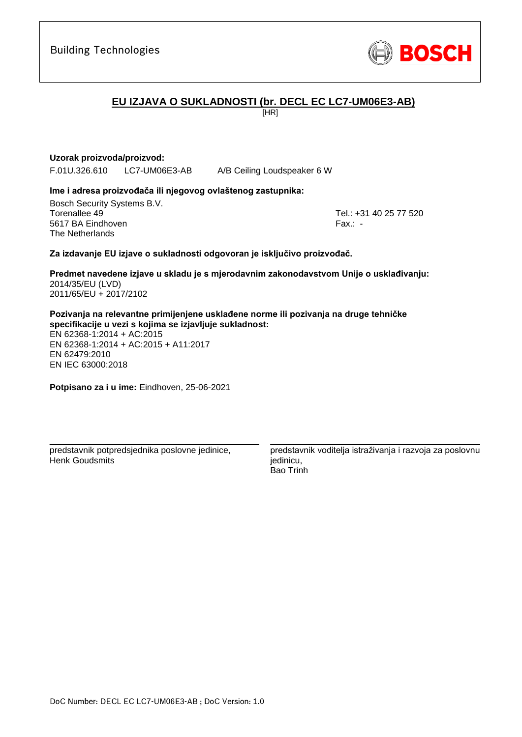

# **EU IZJAVA O SUKLADNOSTI (br. DECL EC LC7-UM06E3-AB)**

[HR]

### **Uzorak proizvoda/proizvod:**

F.01U.326.610 LC7-UM06E3-AB A/B Ceiling Loudspeaker 6 W

### **Ime i adresa proizvođača ili njegovog ovlaštenog zastupnika:**

Bosch Security Systems B.V. Torenallee 49 Tel.: [+31 40 25 77 520](#page-0-0) 5617 BA Eindhoven Fax.: [-](#page-0-1) The Netherlands

### **Za izdavanje EU izjave o sukladnosti odgovoran je isključivo proizvođač.**

**Predmet navedene izjave u skladu je s mjerodavnim zakonodavstvom Unije o usklađivanju[:](#page-0-2)** [2014/35/EU \(LVD\)](#page-0-2) [2011/65/EU +](#page-0-2) 2017/2102

**Pozivanja na relevantne primijenjene usklađene norme ili pozivanja na druge tehničke specifikacije u vezi s kojima se izjavljuje sukladnost:**

EN 62368-1:2014 + AC:2015 EN 62368-1:2014 + AC:2015 + A11:2017 EN 62479:2010 [E](#page-0-4)[N](#page-0-5) [I](#page-0-6)[E](#page-0-7)C 63000:201[8](#page-0-3)

**Potpisano za i u ime:** Eindhoven, 25-06-2021

predstavnik potpredsjednika poslovne jedinice, Henk Goudsmits

\_\_\_\_\_\_\_\_\_\_\_\_\_\_\_\_\_\_\_\_\_\_\_\_\_\_\_\_\_\_\_\_\_\_\_\_\_\_\_\_\_\_\_

predstavnik voditelja istraživanja i razvoja za poslovnu iedinicu. Bao Trinh

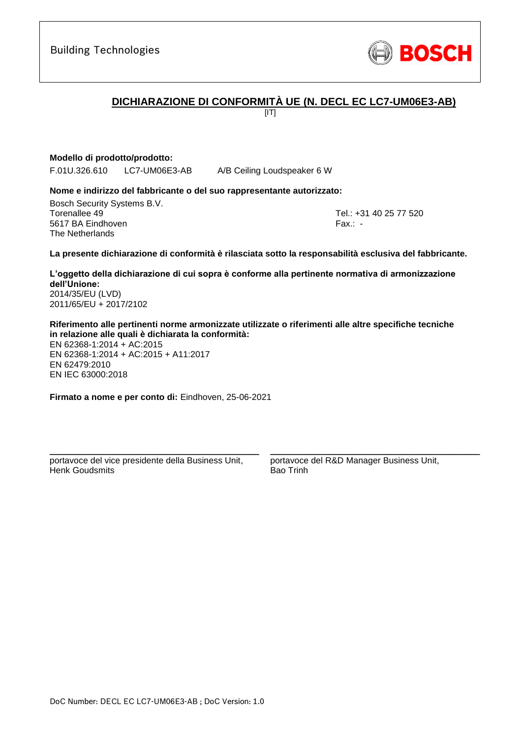# **DICHIARAZIONE DI CONFORMITÀ UE (N. DECL EC LC7-UM06E3-AB)**

 $\overline{III}$ 

**Modello di prodotto/prodotto:**

F.01U.326.610 LC7-UM06E3-AB A/B Ceiling Loudspeaker 6 W

### **Nome e indirizzo del fabbricante o del suo rappresentante autorizzato:**

Bosch Security Systems B.V. Torenallee 49 Tel.: [+31 40 25 77 520](#page-0-0) 5617 BA Eindhoven Fax.: [-](#page-0-1) The Netherlands

**La presente dichiarazione di conformità è rilasciata sotto la responsabilità esclusiva del fabbricante.**

**L'oggetto della dichiarazione di cui sopra è conforme alla pertinente normativa di armonizzazione dell'Unione[:](#page-0-2)** [2014/35/EU \(LVD\)](#page-0-2) [2011/65/EU +](#page-0-2) 2017/2102

**Riferimento alle pertinenti norme armonizzate utilizzate o riferimenti alle altre specifiche tecniche in relazione alle quali è dichiarata la conformità:**

EN 62368-1:2014 + AC:2015 EN 62368-1:2014 + AC:2015 + A11:2017 EN 62479:2010 EN IEC 63000:201[8](#page-0-3)

**Firmato a nome e per conto di:** Eindhoven, 25-06-2021

\_\_\_\_\_\_\_\_\_\_\_\_\_\_\_\_\_\_\_\_\_\_\_\_\_\_\_\_\_\_\_\_\_\_\_\_\_\_\_\_\_\_\_ portavoce del vice presidente della Business Unit, Henk Goudsmits

portavoce del R&D Manager Business Unit, Bao Trinh

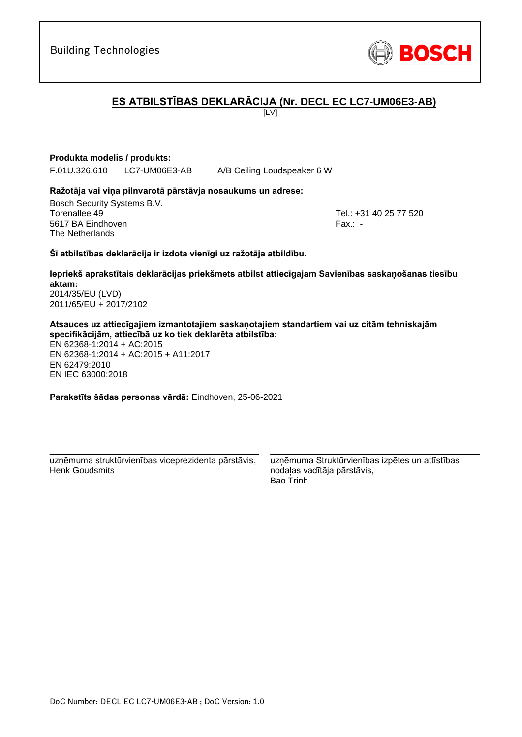# **ES ATBILSTĪBAS DEKLARĀCIJA (Nr. DECL EC LC7-UM06E3-AB)**

 $\overline{L}$ 

# **Produkta modelis / produkts:**

F.01U.326.610 LC7-UM06E3-AB A/B Ceiling Loudspeaker 6 W

### **Ražotāja vai viņa pilnvarotā pārstāvja nosaukums un adrese:**

Bosch Security Systems B.V. Torenallee 49 Tel.: [+31 40 25 77 520](#page-0-0) 5617 BA Eindhoven Fax.: [-](#page-0-1) The Netherlands

### **Šī atbilstības deklarācija ir izdota vienīgi uz ražotāja atbildību.**

**Iepriekš aprakstītais deklarācijas priekšmets atbilst attiecīgajam Savienības saskaņošanas tiesību aktam[:](#page-0-2)** [2014/35/EU \(LVD\)](#page-0-2)

[2011/65/EU +](#page-0-2) 2017/2102

**Atsauces uz attiecīgajiem izmantotajiem saskaņotajiem standartiem vai uz citām tehniskajām specifikācijām, attiecībā uz ko tiek deklarēta atbilstība:**

EN 62368-1:2014 + AC:2015 EN 62368-1:2014 + AC:2015 + A11:2017 EN 62479:2010 EN IEC 63000:201[8](#page-0-3)

**Parakstīts šādas personas vārdā:** Eindhoven, 25-06-2021

\_\_\_\_\_\_\_\_\_\_\_\_\_\_\_\_\_\_\_\_\_\_\_\_\_\_\_\_\_\_\_\_\_\_\_\_\_\_\_\_\_\_\_ uzņēmuma struktūrvienības viceprezidenta pārstāvis, Henk Goudsmits

uzņēmuma Struktūrvienības izpētes un attīstības nodaļas vadītāja pārstāvis, Bao Trinh

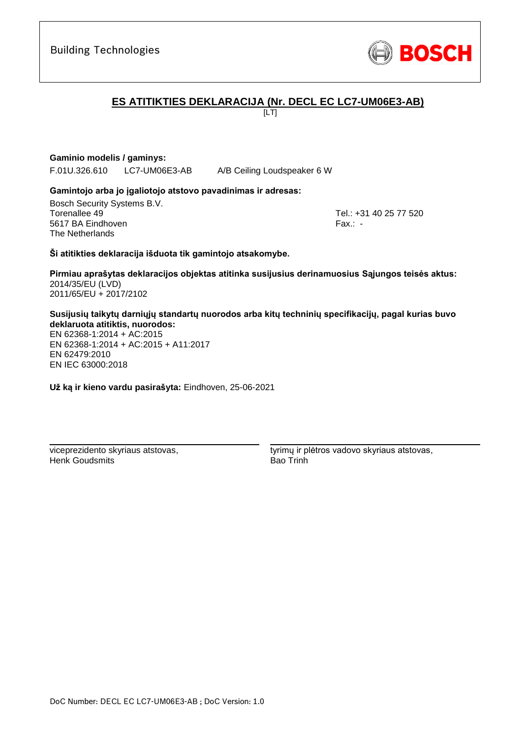# **ES ATITIKTIES DEKLARACIJA (Nr. DECL EC LC7-UM06E3-AB)**

 $\overline{L}$ 

**Gaminio modelis / gaminys:** 

F.01U.326.610 LC7-UM06E3-AB A/B Ceiling Loudspeaker 6 W

# **Gamintojo arba jo įgaliotojo atstovo pavadinimas ir adresas:**

Bosch Security Systems B.V. Torenallee 49 Tel.: [+31 40 25 77 520](#page-0-0) 5617 BA Eindhoven Fax.: [-](#page-0-1) The Netherlands

**Ši atitikties deklaracija išduota tik gamintojo atsakomybe.**

**Pirmiau aprašytas deklaracijos objektas atitinka susijusius derinamuosius Sąjungos teisės aktus[:](#page-0-2)** [2014/35/EU \(LVD\)](#page-0-2) [2011/65/EU +](#page-0-2) 2017/2102

**Susijusių taikytų darniųjų standartų nuorodos arba kitų techninių specifikacijų, pagal kurias buvo deklaruota atitiktis, nuorodos:**

EN 62368-1:2014 + AC:2015 EN 62368-1:2014 + AC:2015 + A11:2017 EN 62479:2010 [E](#page-0-4)[N](#page-0-5) [I](#page-0-6)[E](#page-0-7)C 63000:201[8](#page-0-3)

**Už ką ir kieno vardu pasirašyta:** Eindhoven, 25-06-2021

\_\_\_\_\_\_\_\_\_\_\_\_\_\_\_\_\_\_\_\_\_\_\_\_\_\_\_\_\_\_\_\_\_\_\_\_\_\_\_\_\_\_\_

viceprezidento skyriaus atstovas, Henk Goudsmits

tyrimų ir plėtros vadovo skyriaus atstovas, Bao Trinh

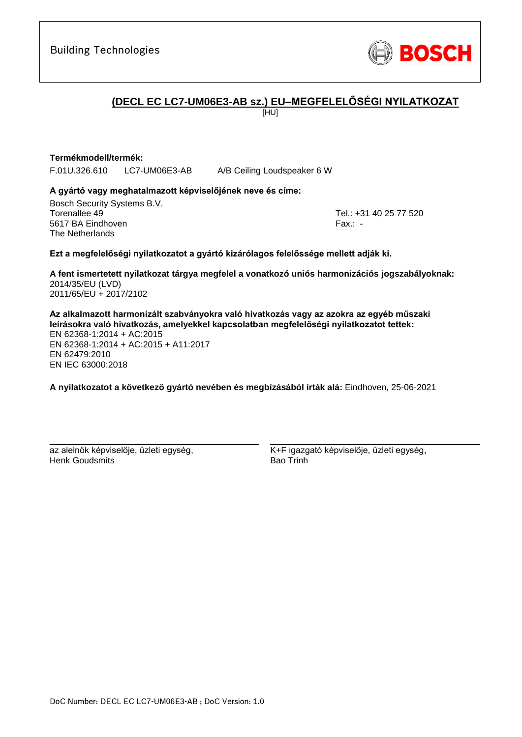

# **(DECL EC LC7-UM06E3-AB sz.) EU–MEGFELELŐSÉGI NYILATKOZAT**

[HU]

### **Termékmodell/termék:**

F.01U.326.610 LC7-UM06E3-AB A/B Ceiling Loudspeaker 6 W

### **A gyártó vagy meghatalmazott képviselőjének neve és címe:**

Bosch Security Systems B.V. Torenallee 49 Tel.: [+31 40 25 77 520](#page-0-0) 5617 BA Eindhoven Fax.: [-](#page-0-1) The Netherlands

### **Ezt a megfelelőségi nyilatkozatot a gyártó kizárólagos felelőssége mellett adják ki.**

**A fent ismertetett nyilatkozat tárgya megfelel a vonatkozó uniós harmonizációs jogszabályoknak[:](#page-0-2)** [2014/35/EU \(LVD\)](#page-0-2) [2011/65/EU +](#page-0-2) 2017/2102

**Az alkalmazott harmonizált szabványokra való hivatkozás vagy az azokra az egyéb műszaki leírásokra való hivatkozás, amelyekkel kapcsolatban megfelelőségi nyilatkozatot tettek:** EN 62368-1:2014 + AC:2015 EN 62368-1:2014 + AC:2015 + A11:2017 EN 62479:2010 [E](#page-0-4)[N](#page-0-5) [IE](#page-0-6)[C](#page-0-7) 63000:201[8](#page-0-3)

**A nyilatkozatot a következő gyártó nevében és megbízásából írták alá:** Eindhoven, 25-06-2021

az alelnök képviselője, üzleti egység, Henk Goudsmits

\_\_\_\_\_\_\_\_\_\_\_\_\_\_\_\_\_\_\_\_\_\_\_\_\_\_\_\_\_\_\_\_\_\_\_\_\_\_\_\_\_\_\_

K+F igazgató képviselője, üzleti egység, Bao Trinh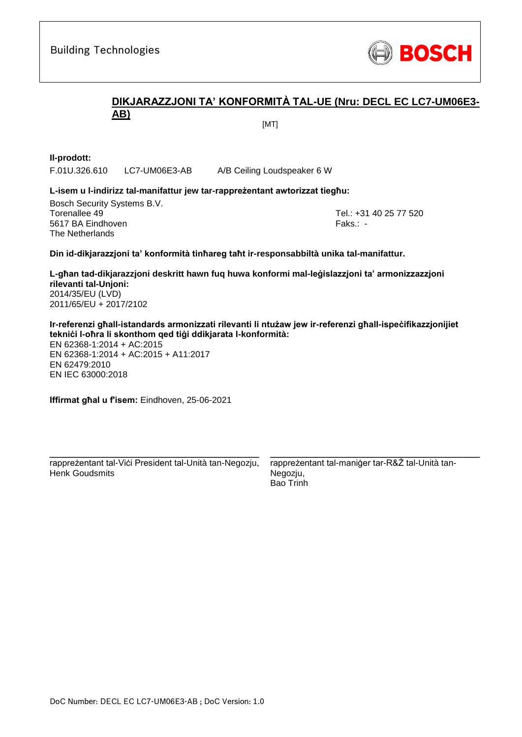

# **DIKJARAZZJONI TA' KONFORMITÀ TAL-UE (Nru: DECL EC LC7-UM06E3- AB)**

[MT]

**Il-prodott:**

F.01U.326.610 LC7-UM06E3-AB A/B Ceiling Loudspeaker 6 W

#### **L-isem u l-indirizz tal-manifattur jew tar-rappreżentant awtorizzat tiegħu:**

Bosch Security Systems B.V. Torenallee 49 Tel.: [+31 40 25 77 520](#page-0-0) 5617 BA Eindhoven Faks.[: -](#page-0-1) Faks.: - Faks.: - Faks.: - Faks.: -The Netherlands

**Din id-dikjarazzjoni ta' konformità tinħareg taħt ir-responsabbiltà unika tal-manifattur.**

**L-għan tad-dikjarazzjoni deskritt hawn fuq huwa konformi mal-leġislazzjoni ta' armonizzazzjoni rilevanti tal-Unjoni[:](#page-0-2)** [2014/35/EU \(LVD\)](#page-0-2) [2011/65/EU +](#page-0-2) 2017/2102

**Ir-referenzi għall-istandards armonizzati rilevanti li ntużaw jew ir-referenzi għall-ispeċifikazzjonijiet tekniċi l-oħra li skonthom qed tiġi ddikjarata l-konformità:**

EN 62368-1:2014 + AC:2015 EN 62368-1:2014 + AC:2015 + A11:2017 EN 62479:2010 EN IEC 63000:201[8](#page-0-3)

**Iffirmat għal u f'isem:** Eindhoven, 25-06-2021

\_\_\_\_\_\_\_\_\_\_\_\_\_\_\_\_\_\_\_\_\_\_\_\_\_\_\_\_\_\_\_\_\_\_\_\_\_\_\_\_\_\_\_ rappreżentant tal-Viċi President tal-Unità tan-Negozju, Henk Goudsmits

rappreżentant tal-maniġer tar-R&Ż tal-Unità tan-Negozju, Bao Trinh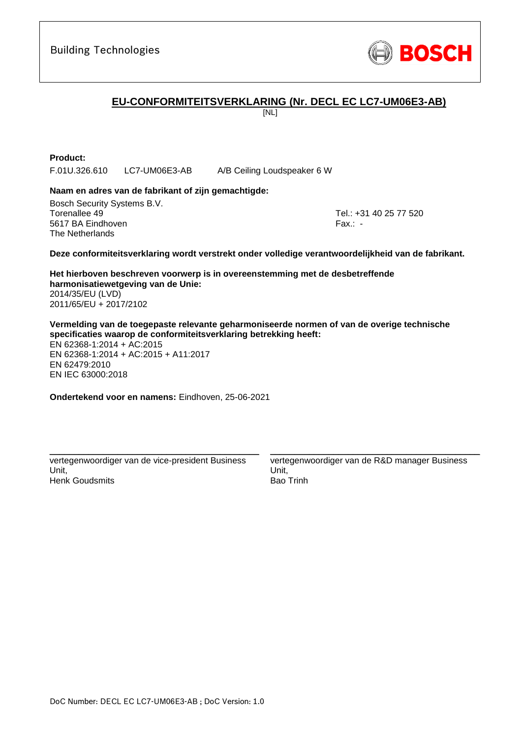

# **EU-CONFORMITEITSVERKLARING (Nr. DECL EC LC7-UM06E3-AB)**

[NL]

**Product:**

F.01U.326.610 LC7-UM06E3-AB A/B Ceiling Loudspeaker 6 W

### **Naam en adres van de fabrikant of zijn gemachtigde:**

Bosch Security Systems B.V. Torenallee 49 Tel.: [+31 40 25 77 520](#page-0-0) 5617 BA Eindhoven Fax.: [-](#page-0-1) Fax.: - Fax.: - Fax.: - Fax.: -The Netherlands

#### **Deze conformiteitsverklaring wordt verstrekt onder volledige verantwoordelijkheid van de fabrikant.**

**Het hierboven beschreven voorwerp is in overeenstemming met de desbetreffende harmonisatiewetgeving van de Unie[:](#page-0-2)** [2014/35/EU \(LVD\)](#page-0-2) [2011/65/EU +](#page-0-2) 2017/2102

**Vermelding van de toegepaste relevante geharmoniseerde normen of van de overige technische specificaties waarop de conformiteitsverklaring betrekking heeft:**

EN 62368-1:2014 + AC:2015 EN 62368-1:2014 + AC:2015 + A11:2017 EN 62479:2010 EN IEC 63000:201[8](#page-0-3)

**Ondertekend voor en namens:** Eindhoven, 25-06-2021

vertegenwoordiger van de vice-president Business Unit, Henk Goudsmits

\_\_\_\_\_\_\_\_\_\_\_\_\_\_\_\_\_\_\_\_\_\_\_\_\_\_\_\_\_\_\_\_\_\_\_\_\_\_\_\_\_\_\_

vertegenwoordiger van de R&D manager Business Unit, Bao Trinh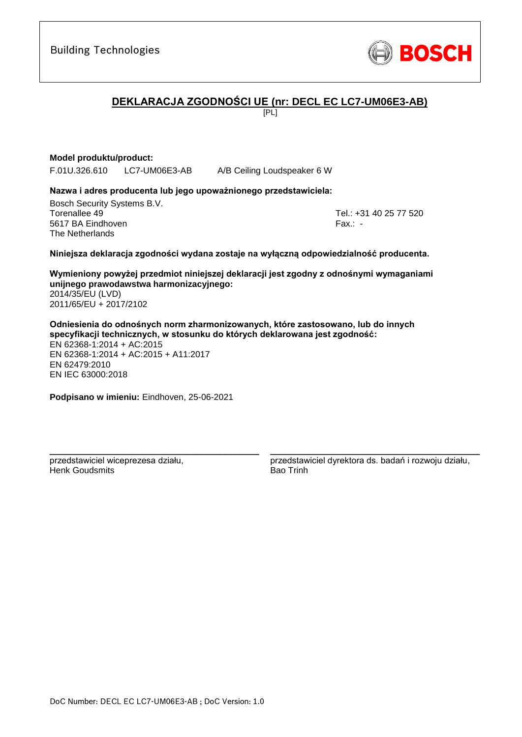# **DEKLARACJA ZGODNOŚCI UE (nr: DECL EC LC7-UM06E3-AB)**

[PL]

# **Model produktu/product:**

F.01U.326.610 LC7-UM06E3-AB A/B Ceiling Loudspeaker 6 W

### **Nazwa i adres producenta lub jego upoważnionego przedstawiciela:**

Bosch Security Systems B.V. Torenallee 49 Tel.: [+31 40 25 77 520](#page-0-0) 5617 BA Eindhoven Fax.: [-](#page-0-1) The Netherlands

### **Niniejsza deklaracja zgodności wydana zostaje na wyłączną odpowiedzialność producenta.**

**Wymieniony powyżej przedmiot niniejszej deklaracji jest zgodny z odnośnymi wymaganiami unijnego prawodawstwa harmonizacyjnego[:](#page-0-2)** [2014/35/EU \(LVD\)](#page-0-2)

[2011/65/EU +](#page-0-2) 2017/2102

**Odniesienia do odnośnych norm zharmonizowanych, które zastosowano, lub do innych specyfikacji technicznych, w stosunku do których deklarowana jest zgodność:** EN 62368-1:2014 + AC:2015 EN 62368-1:2014 + AC:2015 + A11:2017 EN 62479:2010 EN IEC 63000:201[8](#page-0-3)

**Podpisano w imieniu:** Eindhoven, 25-06-2021

\_\_\_\_\_\_\_\_\_\_\_\_\_\_\_\_\_\_\_\_\_\_\_\_\_\_\_\_\_\_\_\_\_\_\_\_\_\_\_\_\_\_\_

przedstawiciel wiceprezesa działu, Henk Goudsmits

przedstawiciel dyrektora ds. badań i rozwoju działu, Bao Trinh

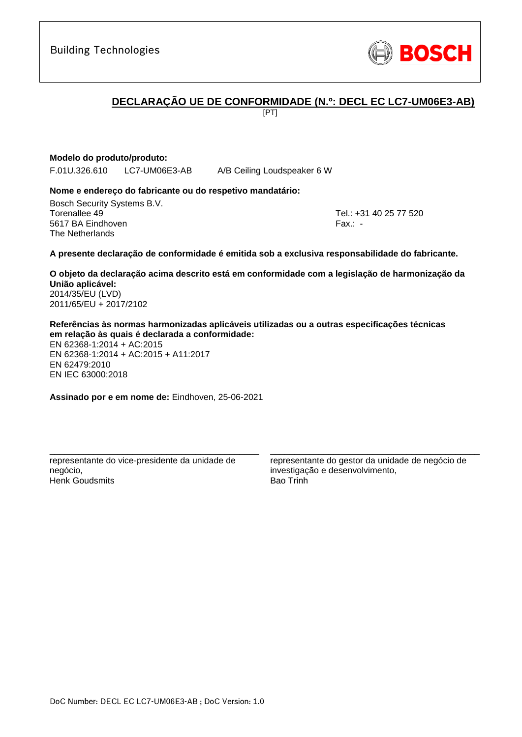# **DECLARAÇÃO UE DE CONFORMIDADE (N.º: DECL EC LC7-UM06E3-AB)**

[PT]

# **Modelo do produto/produto:**

F.01U.326.610 LC7-UM06E3-AB A/B Ceiling Loudspeaker 6 W

### **Nome e endereço do fabricante ou do respetivo mandatário:**

Bosch Security Systems B.V. Torenallee 49 Tel.: [+31 40 25 77 520](#page-0-0) 5617 BA Eindhoven Fax.: [-](#page-0-1) The Netherlands

### **A presente declaração de conformidade é emitida sob a exclusiva responsabilidade do fabricante.**

**O objeto da declaração acima descrito está em conformidade com a legislação de harmonização da União aplicável[:](#page-0-2)** [2014/35/EU \(LVD\)](#page-0-2) [2011/65/EU +](#page-0-2) 2017/2102

**Referências às normas harmonizadas aplicáveis utilizadas ou a outras especificações técnicas em relação às quais é declarada a conformidade:**

EN 62368-1:2014 + AC:2015 EN 62368-1:2014 + AC:2015 + A11:2017 EN 62479:2010 EN IEC 63000:201[8](#page-0-3)

**Assinado por e em nome de:** Eindhoven, 25-06-2021

\_\_\_\_\_\_\_\_\_\_\_\_\_\_\_\_\_\_\_\_\_\_\_\_\_\_\_\_\_\_\_\_\_\_\_\_\_\_\_\_\_\_\_ representante do vice-presidente da unidade de negócio, Henk Goudsmits

representante do gestor da unidade de negócio de investigação e desenvolvimento, Bao Trinh

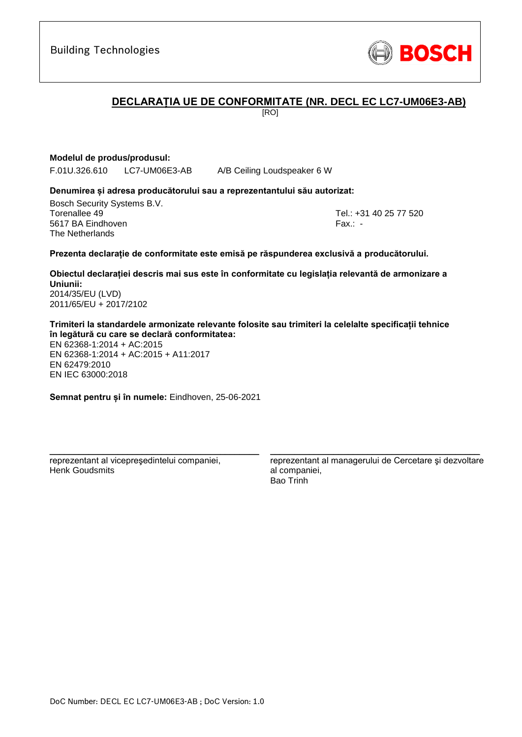# **DECLARAȚIA UE DE CONFORMITATE (NR. DECL EC LC7-UM06E3-AB)**

[RO]

**Modelul de produs/produsul:**

F.01U.326.610 LC7-UM06E3-AB A/B Ceiling Loudspeaker 6 W

### **Denumirea și adresa producătorului sau a reprezentantului său autorizat:**

Bosch Security Systems B.V. Torenallee 49 Tel.: [+31 40 25 77 520](#page-0-0) 5617 BA Eindhoven Fax.: [-](#page-0-1) The Netherlands

### **Prezenta declarație de conformitate este emisă pe răspunderea exclusivă a producătorului.**

**Obiectul declarației descris mai sus este în conformitate cu legislația relevantă de armonizare a Uniunii[:](#page-0-2)** [2014/35/EU \(LVD\)](#page-0-2)

[2011/65/EU +](#page-0-2) 2017/2102

**Trimiteri la standardele armonizate relevante folosite sau trimiteri la celelalte specificații tehnice în legătură cu care se declară conformitatea:**

EN 62368-1:2014 + AC:2015 EN 62368-1:2014 + AC:2015 + A11:2017 EN 62479:2010 EN IEC 63000:201[8](#page-0-3)

**Semnat pentru și în numele:** Eindhoven, 25-06-2021

\_\_\_\_\_\_\_\_\_\_\_\_\_\_\_\_\_\_\_\_\_\_\_\_\_\_\_\_\_\_\_\_\_\_\_\_\_\_\_\_\_\_\_

reprezentant al vicepreşedintelui companiei, Henk Goudsmits

reprezentant al managerului de Cercetare şi dezvoltare al companiei, Bao Trinh

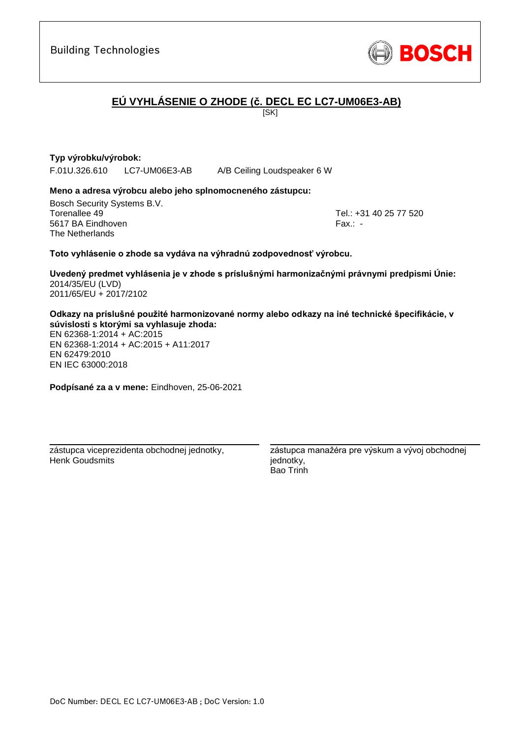

# **EÚ VYHLÁSENIE O ZHODE (č. DECL EC LC7-UM06E3-AB)**

[SK]

# **Typ výrobku/výrobok:**

F.01U.326.610 LC7-UM06E3-AB A/B Ceiling Loudspeaker 6 W

### **Meno a adresa výrobcu alebo jeho splnomocneného zástupcu:**

Bosch Security Systems B.V. Torenallee 49 Tel.: [+31 40 25 77 520](#page-0-0) 5617 BA Eindhoven Fax.: [-](#page-0-1) The Netherlands

### **Toto vyhlásenie o zhode sa vydáva na výhradnú zodpovednosť výrobcu.**

**Uvedený predmet vyhlásenia je v zhode s príslušnými harmonizačnými právnymi predpismi Únie[:](#page-0-2)** [2014/35/EU \(LVD\)](#page-0-2) [2011/65/EU +](#page-0-2) 2017/2102

### **Odkazy na príslušné použité harmonizované normy alebo odkazy na iné technické špecifikácie, v súvislosti s ktorými sa vyhlasuje zhoda:**

EN 62368-1:2014 + AC:2015 EN 62368-1:2014 + AC:2015 + A11:2017 EN 62479:2010 [E](#page-0-4)[N](#page-0-5) [I](#page-0-6)[E](#page-0-7)C 63000:201[8](#page-0-3)

**Podpísané za a v mene:** Eindhoven, 25-06-2021

\_\_\_\_\_\_\_\_\_\_\_\_\_\_\_\_\_\_\_\_\_\_\_\_\_\_\_\_\_\_\_\_\_\_\_\_\_\_\_\_\_\_\_ zástupca viceprezidenta obchodnej jednotky, Henk Goudsmits

zástupca manažéra pre výskum a vývoj obchodnej jednotky, Bao Trinh

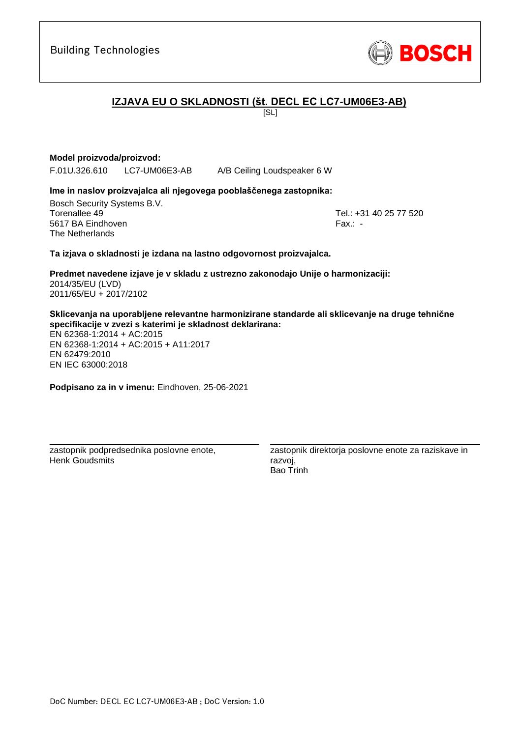# **IZJAVA EU O SKLADNOSTI (št. DECL EC LC7-UM06E3-AB)**

 $|S_L|$ 

# **Model proizvoda/proizvod:**

F.01U.326.610 LC7-UM06E3-AB A/B Ceiling Loudspeaker 6 W

### **Ime in naslov proizvajalca ali njegovega pooblaščenega zastopnika:**

Bosch Security Systems B.V. Torenallee 49 Tel.: [+31 40 25 77 520](#page-0-0) 5617 BA Eindhoven Fax.: [-](#page-0-1) The Netherlands

### **Ta izjava o skladnosti je izdana na lastno odgovornost proizvajalca.**

**Predmet navedene izjave je v skladu z ustrezno zakonodajo Unije o harmonizaciji[:](#page-0-2)** [2014/35/EU \(LVD\)](#page-0-2) [2011/65/EU +](#page-0-2) 2017/2102

**Sklicevanja na uporabljene relevantne harmonizirane standarde ali sklicevanje na druge tehnične specifikacije v zvezi s katerimi je skladnost deklarirana:**

EN 62368-1:2014 + AC:2015 EN 62368-1:2014 + AC:2015 + A11:2017 EN 62479:2010 [E](#page-0-4)[N](#page-0-5) [I](#page-0-6)[E](#page-0-7)C 63000:201[8](#page-0-3)

**Podpisano za in v imenu:** Eindhoven, 25-06-2021

\_\_\_\_\_\_\_\_\_\_\_\_\_\_\_\_\_\_\_\_\_\_\_\_\_\_\_\_\_\_\_\_\_\_\_\_\_\_\_\_\_\_\_

zastopnik podpredsednika poslovne enote, Henk Goudsmits

zastopnik direktorja poslovne enote za raziskave in razvoj, Bao Trinh

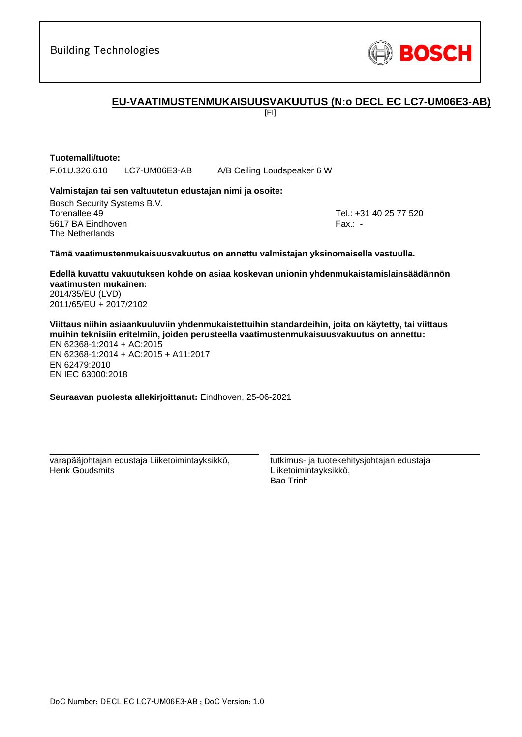

# **EU-VAATIMUSTENMUKAISUUSVAKUUTUS (N:o DECL EC LC7-UM06E3-AB)**

[FI]

# **Tuotemalli/tuote:**

F.01U.326.610 LC7-UM06E3-AB A/B Ceiling Loudspeaker 6 W

### **Valmistajan tai sen valtuutetun edustajan nimi ja osoite:**

Bosch Security Systems B.V. Torenallee 49 Tel.: [+31 40 25 77 520](#page-0-0) 5617 BA Eindhoven Fax.: [-](#page-0-1) Fax.: - Fax.: - Fax.: - Fax.: -The Netherlands

#### **Tämä vaatimustenmukaisuusvakuutus on annettu valmistajan yksinomaisella vastuulla.**

**Edellä kuvattu vakuutuksen kohde on asiaa koskevan unionin yhdenmukaistamislainsäädännön vaatimusten mukainen[:](#page-0-2)** [2014/35/EU \(LVD\)](#page-0-2)

[2011/65/EU +](#page-0-2) 2017/2102

**Viittaus niihin asiaankuuluviin yhdenmukaistettuihin standardeihin, joita on käytetty, tai viittaus muihin teknisiin eritelmiin, joiden perusteella vaatimustenmukaisuusvakuutus on annettu:** EN 62368-1:2014 + AC:2015 EN 62368-1:2014 + AC:2015 + A11:2017 EN 62479:2010 EN IEC 63000:201[8](#page-0-3)

**Seuraavan puolesta allekirjoittanut:** Eindhoven, 25-06-2021

varapääjohtajan edustaja Liiketoimintayksikkö, Henk Goudsmits

\_\_\_\_\_\_\_\_\_\_\_\_\_\_\_\_\_\_\_\_\_\_\_\_\_\_\_\_\_\_\_\_\_\_\_\_\_\_\_\_\_\_\_

tutkimus- ja tuotekehitysjohtajan edustaja Liiketoimintayksikkö, Bao Trinh